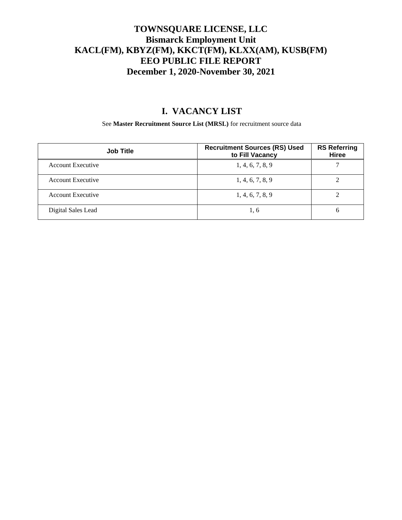#### **TOWNSQUARE LICENSE, LLC Bismarck Employment Unit KACL(FM), KBYZ(FM), KKCT(FM), KLXX(AM), KUSB(FM) EEO PUBLIC FILE REPORT December 1, 2020-November 30, 2021**

## **I. VACANCY LIST**

See **Master Recruitment Source List (MRSL)** for recruitment source data

| <b>Job Title</b>         | <b>Recruitment Sources (RS) Used</b><br>to Fill Vacancy | <b>RS Referring</b><br>Hiree |
|--------------------------|---------------------------------------------------------|------------------------------|
| <b>Account Executive</b> | 1, 4, 6, 7, 8, 9                                        |                              |
| Account Executive        | 1, 4, 6, 7, 8, 9                                        |                              |
| Account Executive        | 1, 4, 6, 7, 8, 9                                        |                              |
| Digital Sales Lead       | 1,6                                                     | 6                            |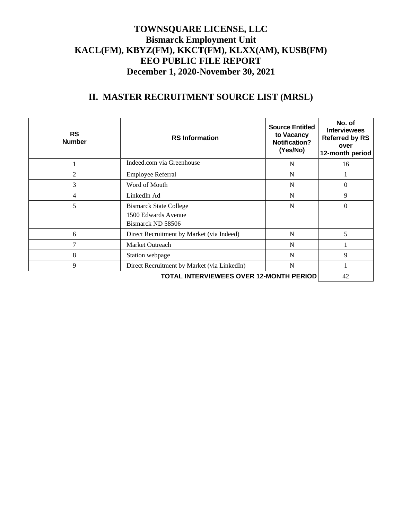#### **TOWNSQUARE LICENSE, LLC Bismarck Employment Unit KACL(FM), KBYZ(FM), KKCT(FM), KLXX(AM), KUSB(FM) EEO PUBLIC FILE REPORT December 1, 2020-November 30, 2021**

# **II. MASTER RECRUITMENT SOURCE LIST (MRSL)**

| <b>RS</b><br><b>Number</b> | <b>RS</b> Information                                                     | <b>Source Entitled</b><br>to Vacancy<br><b>Notification?</b><br>(Yes/No) | No. of<br><b>Interviewees</b><br><b>Referred by RS</b><br>over<br>12-month period |
|----------------------------|---------------------------------------------------------------------------|--------------------------------------------------------------------------|-----------------------------------------------------------------------------------|
|                            | Indeed.com via Greenhouse                                                 | N                                                                        | 16                                                                                |
| 2                          | Employee Referral                                                         | N                                                                        |                                                                                   |
| 3                          | Word of Mouth                                                             | N                                                                        | $\overline{0}$                                                                    |
| 4                          | LinkedIn Ad                                                               | N                                                                        | 9                                                                                 |
| 5                          | <b>Bismarck State College</b><br>1500 Edwards Avenue<br>Bismarck ND 58506 | N                                                                        | $\theta$                                                                          |
| 6                          | Direct Recruitment by Market (via Indeed)                                 | N                                                                        | 5                                                                                 |
| 7                          | Market Outreach                                                           | N                                                                        |                                                                                   |
| 8                          | Station webpage                                                           | N                                                                        | 9                                                                                 |
| 9                          | Direct Recruitment by Market (via LinkedIn)                               | N                                                                        |                                                                                   |
|                            | 42                                                                        |                                                                          |                                                                                   |